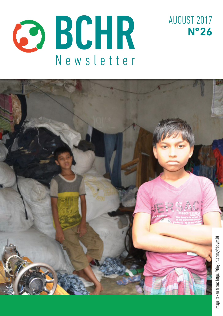



AUGUST 2017

**Nº 26**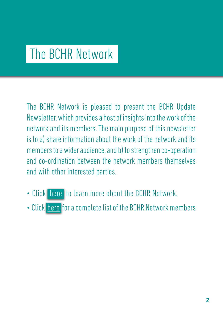# The BCHR Network

The BCHR Network is pleased to present the BCHR Update Newsletter, which provides a host of insights into the work of the network and its members. The main purpose of this newsletter is to a) share information about the work of the network and its members to a wider audience, and b) to strengthen co-operation and co-ordination between the network members themselves and with other interested parties.

- Click [here](http://www.networkbchr.org/) to learn more about the BCHR Network.
- Click [here](http://www.networkbchr.org/#!join-the-network/c24vq) for a complete list of the BCHR Network members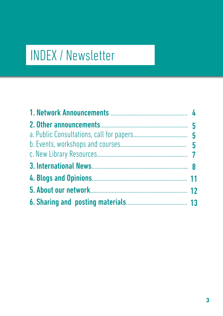# INDEX / Newsletter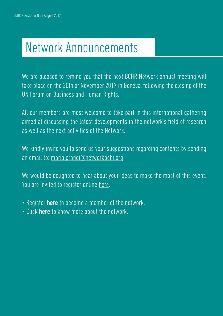# Network Announcements

We are pleased to remind you that the next BCHR Network annual meeting will take place on the 30th of November 2017 in Geneva, following the closing of the UN Forum on Business and Human Rights.

All our members are most welcome to take part in this international gathering aimed at discussing the latest developments in the network's field of research as well as the next activities of the Network.

We kindly invite you to send us your suggestions regarding contents by sending an email to: [maria.prandi@networkbchr.org](mailto:maria.prandi%40networkbchr.org?subject=)

We would be delighted to hear about your ideas to make the most of this event. You are invited to register online [here.](https://www.networkbchr.org/register-for-the-annual-meeting)

- Register **[here](http://www.networkbchr.org/#!join-the-network/c24vq)** to become a member of the network.
- Click **[here](http://www.networkbchr.org/#!the-network/cqn6)** to know more about the network.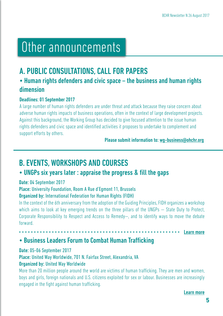# Other announcements

# A. PUBLIC CONSULTATIONS, CALL FOR PAPERS

# • Human rights defenders and civic space – the business and human rights dimension

### Deadlines: 01 September 2017

A large number of human rights defenders are under threat and attack because they raise concern about adverse human rights impacts of business operations, often in the context of large development projects. Against this background, the Working Group has decided to give focused attention to the issue human rights defenders and civic space and identified activities it proposes to undertake to complement and support efforts by others.

### Please submit information to: [wg-business@ohchr.org](mailto:wg-business%40ohchr.org%20?subject=)

# B. EVENTS, WORKSHOPS AND COURSES

### • UNGPs six years later : appraise the progress & fill the gaps

### Date: 04 September 2017

### Place: University Foundation, Room A Rue d'Egmont 11, Brussels

### Organized by: International Federation for Human Rights (FIDH)

In the context of the 6th anniversary from the adoption of the Guiding Principles, FIDH organizes a workshop which aims to look at key emerging trends on the three pillars of the UNGPs — State Duty to Protect, Corporate Responsibility to Respect and Access to Remedy—, and to identify ways to move the debate forward.

[Learn more](https://tinyurl.com/ybem9arz)

# • Business Leaders Forum to Combat Human Trafficking

### Date: 05-06 September 2017

### Place: United Way Worldwide, 701 N. Fairfax Street, Alexandria, VA

### Organized by: United Way Worldwide

More than 20 million people around the world are victims of human trafficking. They are men and women, boys and girls, foreign nationals and U.S. citizens exploited for sex or labour. Businesses are increasingly engaged in the fight against human trafficking.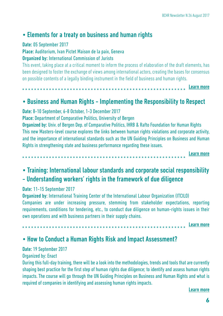### • Elements for a treaty on business and human rights

### Date: 05 September 2017

Place: Auditorium, Ivan Pictet Maison de la paix, Geneva

### Organized by: International Commission of Jurists

This event, taking place at a critical moment to inform the process of elaboration of the draft elements, has been designed to foster the exchange of views among international actors, creating the bases for consensus on possible contents of a legally binding instrument in the field of business and human rights.

[Learn more](https://tinyurl.com/ybsa7c83)

### • Business and Human Rights - Implementing the Responsibility to Respect

Date: 8-10 September, 6-8 October, 1-3 December 2017

Place: Department of Comparative Politics, University of Bergen

Organized by: Univ. of Bergen Dep. of Comparative Politics, IHRB & Rafto Foundation for Human Rights This new Masters-level course explores the links between human rights violations and corporate activity, and the importance of international standards such as the UN Guiding Principles on Business and Human Rights in strengthening state and business performance regarding these issues.

> [Learn more](https://tinyurl.com/y9yfaykn)

# • Training: International labour standards and corporate social responsibility - Understanding workers' rights in the framework of due diligence

### Date: 11-15 September 2017

Organized by: International Training Center of the International Labour Organization (ITCILO) Companies are under increasing pressure, stemming from stakeholder expectations, reporting requirements, conditions for tendering, etc., to conduct due diligence on human-rights issues in their own operations and with business partners in their supply chains.

[Learn more](https://tinyurl.com/y7n2l23l)

## • How to Conduct a Human Rights Risk and Impact Assessment?

### Date: 19 September 2017

### Organized by: Enact

During this full-day training, there will be a look into the methodologies, trends and tools that are currently shaping best practice for the first step of human rights due diligence; to identify and assess human rights impacts. The course will go through the UN Guiding Principles on Business and Human Rights and what is required of companies in identifying and assessing human rights impacts.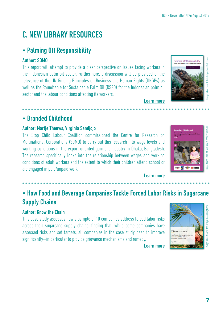# C. NEW LIBRARY RESOURCES

# • Palming Off Responsibility

### Author: SOMO

This report will attempt to provide a clear perspective on issues facing workers in the Indonesian palm oil sector. Furthermore, a discussion will be provided of the relevance of the UN Guiding Principles on Business and Human Rights (UNGPs) as well as the Roundtable for Sustainable Palm Oil (RSPO) for the Indonesian palm oil sector and the labour conditions affecting its workers.



# • Branded Childhood

### Author: Martje Theuws, Virginia Sandjojo

The Stop Child Labour Coalition commissioned the Centre for Research on Multinational Corporations (SOMO) to carry out this research into wage levels and working conditions in the export-oriented garment industry in Dhaka, Bangladesh. The research specifically looks into the relationship between wages and working conditions of adult workers and the extent to which their children attend school or are engaged in paid/unpaid work.



**7**Image taken from: https://tinyurl.com/y9bpym38 Image taken from: https://tinyurl.com/y9gtybfu Image taken from: https://tinyurl.com/ydcjkovo age taken from: https://tinvurl.com/v9bovm3l

#### [Learn more](https://tinyurl.com/y9bpym38)

[Learn more](https://tinyurl.com/ydcjkovo)

# • How Food and Beverage Companies Tackle Forced Labor Risks in Sugarcane Supply Chains

### Author: Know the Chain

This case study assesses how a sample of 10 companies address forced labor risks across their sugarcane supply chains, finding that, while some companies have assessed risks and set targets, all companies in the case study need to improve significantly—in particular to provide grievance mechanisms and remedy.

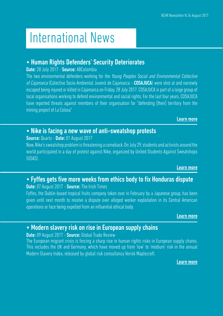# International News

# • Human Rights Defenders' Security Deteriorates

### Date: 28 July 2017 - Source: ABColombia

The two environmental defenders working for the Young Peoples Social and Environmental Collective of Cajamarca (Colectivo Socio-Ambiental Juvenil de Cajamarca – COSAJUCA) were shot at and narrowly escaped being injured or killed in Cajamarca on Friday, 28 July 2017. COSAJUCA is part of a large group of local organisations working to defend environmental and social rights. For the last four years, COSAJUCA have reported threats against members of their organisation for "defending [their] territory from the mining project of La Colosa"

#### [Learn more](https://tinyurl.com/y88ku3dd)

## • Nike is facing a new wave of anti-sweatshop protests

### Source: Quartz - Date: 01 August 2017

Now, Nike's sweatshop problem is threatening a comeback. On July 29, students and activists around the world participated in a day of protest against Nike, organized by United Students Against Sweatshops (USAS).

#### [Learn more](https://tinyurl.com/yaoj4um2)

### • Fyffes gets five more weeks from ethics body to fix Honduras dispute Date: 07 August 2017 - Source: The Irish Times

### Fyffes, the Dublin-based tropical fruits company taken over in February by a Japanese group, has been given until next month to resolve a dispute over alleged worker exploitation in its Central American operations or face being expelled from an influential ethical body.

#### [Learn more](http://tinyurl.com/jknwlyv)

### • Modern slavery risk on rise in European supply chains

### Date: 09 August 2017 - Source: Global Trade Review

The European migrant crisis is forcing a sharp rise in human rights risks in European supply chains. This includes the UK and Germany, which have moved up from 'low' to 'medium' risk in the annual Modern Slavery Index, released by global risk consultancy Verisk Maplecroft.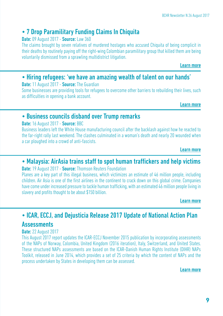# • 7 Drop Paramilitary Funding Claims In Chiquita

### **Date: 09 August 2017 - Source: Law 360**

The claims brought by seven relatives of murdered hostages who accused Chiquita of being complicit in their deaths by routinely paying off the right-wing Colombian paramilitary group that killed them are being voluntarily dismissed from a sprawling multidistrict litigation.

[Learn more](https://tinyurl.com/y7uh6fyj)

# • Hiring refugees: 'we have an amazing wealth of talent on our hands'

Date: 11 August 2017 - Source: The Guardian

Some businesses are providing tools for refugees to overcome other barriers to rebuilding their lives, such as difficulties in opening a bank account.

[Learn more](https://tinyurl.com/y9z8935b)

### • Business councils disband over Trump remarks

### Date: 16 August 2017 - Source: BBC

Business leaders left the White House manufacturing council after the backlash against how he reacted to the far-right rally last weekend. The clashes culminated in a woman's death and nearly 20 wounded when a car ploughed into a crowd of anti-fascists.

[Learn more](https://tinyurl.com/ybzagxj5)

## • Malaysia: AirAsia trains staff to spot human traffickers and help victims

**Date:** 19 August 2017 - **Source:** Thomson Reuters Foundation

Planes are a key part of this illegal business, which victimizes an estimate of 46 million people, including children. Air Asia is one of the first airlines in the continent to crack down on this global crime. Companies have come under increased pressure to tackle human trafficking, with an estimated 46 million people living in slavery and profits thought to be about \$150 billion.

[Learn more](https://tinyurl.com/y87dqwl4)

# • ICAR, ECCJ, and Dejusticia Release 2017 Update of National Action Plan Assessments

### **Date: 22 August 2017**

This August 2017 report updates the ICAR-ECCJ November 2015 publication by incorporating assessments of the NAPs of Norway, Colombia, United Kingdom (2016 iteration), Italy, Switzerland, and United States. These structured NAPs assessments are based on the ICAR-Danish Human Rights Institute (DIHR) NAPs Toolkit, released in June 2014, which provides a set of 25 criteria by which the content of NAPs and the process undertaken by States in developing them can be assessed.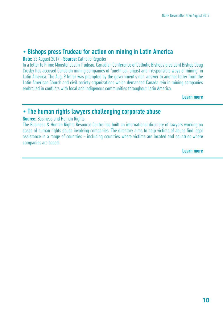### • Bishops press Trudeau for action on mining in Latin America

Date: 23 August 2017 - Source: Catholic Register

In a letter to Prime Minister Justin Trudeau, Canadian Conference of Catholic Bishops president Bishop Doug Crosby has accused Canadian mining companies of "unethical, unjust and irresponsible ways of mining" in Latin America. The Aug. 9 letter was prompted by the government's non-answer to another letter from the Latin American Church and civil society organizations which demanded Canada rein in mining companies embroiled in conflicts with local and Indigenous communities throughout Latin America.

[Learn more](https://tinyurl.com/yblxqw9c)

### • The human rights lawyers challenging corporate abuse

#### **Source: Business and Human Rights**

The Business & Human Rights Resource Centre has built an international directory of lawyers working on cases of human rights abuse involving companies. The directory aims to help victims of abuse find legal assistance in a range of countries – including countries where victims are located and countries where companies are based.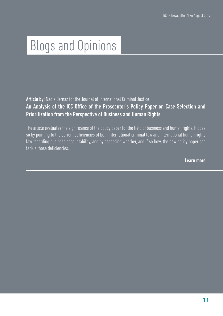# Blogs and Opinions

Article by: Nadia Bernaz for the Journal of International Criminal Justice

### An Analysis of the ICC Office of the Prosecutor's Policy Paper on Case Selection and Prioritization from the Perspective of Business and Human Rights

The article evaluates the significance of the policy paper for the field of business and human rights. It does so by pointing to the current deficiencies of both international criminal law and international human rights law regarding business accountability, and by assessing whether, and if so how, the new policy paper can tackle those deficiencies.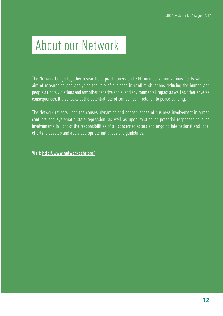# About our Network

The Network brings together researchers, practitioners and NGO members from various fields with the aim of researching and analysing the role of business in conflict situations reducing the human and people's rights violations and any other negative social and environmental impact as well as other adverse consequences. It also looks at the potential role of companies in relation to peace building.

The Network reflects upon the causes, dynamics and consequences of business involvement in armed conflicts and systematic state repression, as well as upon existing or potential responses to such involvements in light of the responsibilities of all concerned actors and ongoing international and local efforts to develop and apply appropriate initiatives and guidelines.

Visit: <http://www.networkbchr.org/>